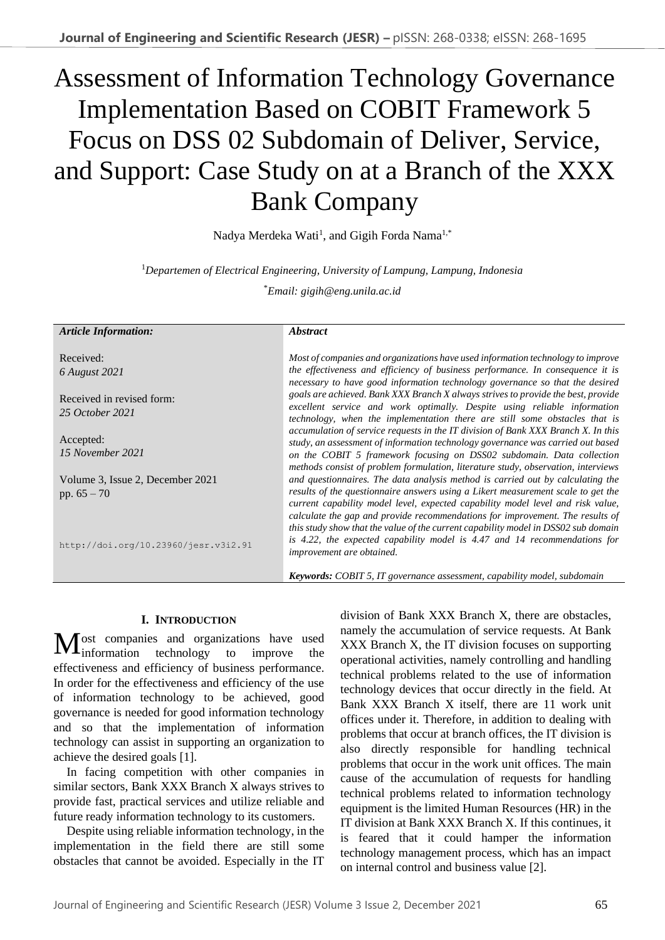# Assessment of Information Technology Governance Implementation Based on COBIT Framework 5 Focus on DSS 02 Subdomain of Deliver, Service, and Support: Case Study on at a Branch of the XXX Bank Company

Nadya Merdeka Wati<sup>1</sup>, and Gigih Forda Nama<sup>1,\*</sup>

<sup>1</sup>*Departemen of Electrical Engineering, University of Lampung, Lampung, Indonesia*

\**Email: gigih@eng.unila.ac.id*

| <b>Article Information:</b>                                                             | <i><b>Abstract</b></i>                                                                                                                                                                                                                                                                                                                                                                                                                                                                                                                                                                                                                                                   |
|-----------------------------------------------------------------------------------------|--------------------------------------------------------------------------------------------------------------------------------------------------------------------------------------------------------------------------------------------------------------------------------------------------------------------------------------------------------------------------------------------------------------------------------------------------------------------------------------------------------------------------------------------------------------------------------------------------------------------------------------------------------------------------|
| Received:<br>6 August 2021<br>Received in revised form:<br>25 October 2021<br>Accepted: | Most of companies and organizations have used information technology to improve<br>the effectiveness and efficiency of business performance. In consequence it is<br>necessary to have good information technology governance so that the desired<br>goals are achieved. Bank XXX Branch X always strives to provide the best, provide<br>excellent service and work optimally. Despite using reliable information<br>technology, when the implementation there are still some obstacles that is<br>accumulation of service requests in the IT division of Bank XXX Branch X. In this<br>study, an assessment of information technology governance was carried out based |
| 15 November 2021<br>Volume 3, Issue 2, December 2021<br>pp. $65 - 70$                   | on the COBIT 5 framework focusing on DSS02 subdomain. Data collection<br>methods consist of problem formulation, literature study, observation, interviews<br>and questionnaires. The data analysis method is carried out by calculating the<br>results of the questionnaire answers using a Likert measurement scale to get the<br>current capability model level, expected capability model level and risk value,                                                                                                                                                                                                                                                      |
| http://doi.org/10.23960/jesr.v3i2.91                                                    | calculate the gap and provide recommendations for improvement. The results of<br>this study show that the value of the current capability model in DSS02 sub domain<br>is 4.22, the expected capability model is 4.47 and 14 recommendations for<br>improvement are obtained.<br><b>Keywords:</b> COBIT 5, IT governance assessment, capability model, subdomain                                                                                                                                                                                                                                                                                                         |

## **I. INTRODUCTION**

ost companies and organizations have used Most companies and organizations have used<br>information technology to improve the effectiveness and efficiency of business performance. In order for the effectiveness and efficiency of the use of information technology to be achieved, good governance is needed for good information technology and so that the implementation of information technology can assist in supporting an organization to achieve the desired goals [1].

In facing competition with other companies in similar sectors, Bank XXX Branch X always strives to provide fast, practical services and utilize reliable and future ready information technology to its customers.

Despite using reliable information technology, in the implementation in the field there are still some obstacles that cannot be avoided. Especially in the IT division of Bank XXX Branch X, there are obstacles, namely the accumulation of service requests. At Bank XXX Branch X, the IT division focuses on supporting operational activities, namely controlling and handling technical problems related to the use of information technology devices that occur directly in the field. At Bank XXX Branch X itself, there are 11 work unit offices under it. Therefore, in addition to dealing with problems that occur at branch offices, the IT division is also directly responsible for handling technical problems that occur in the work unit offices. The main cause of the accumulation of requests for handling technical problems related to information technology equipment is the limited Human Resources (HR) in the IT division at Bank XXX Branch X. If this continues, it is feared that it could hamper the information technology management process, which has an impact on internal control and business value [2].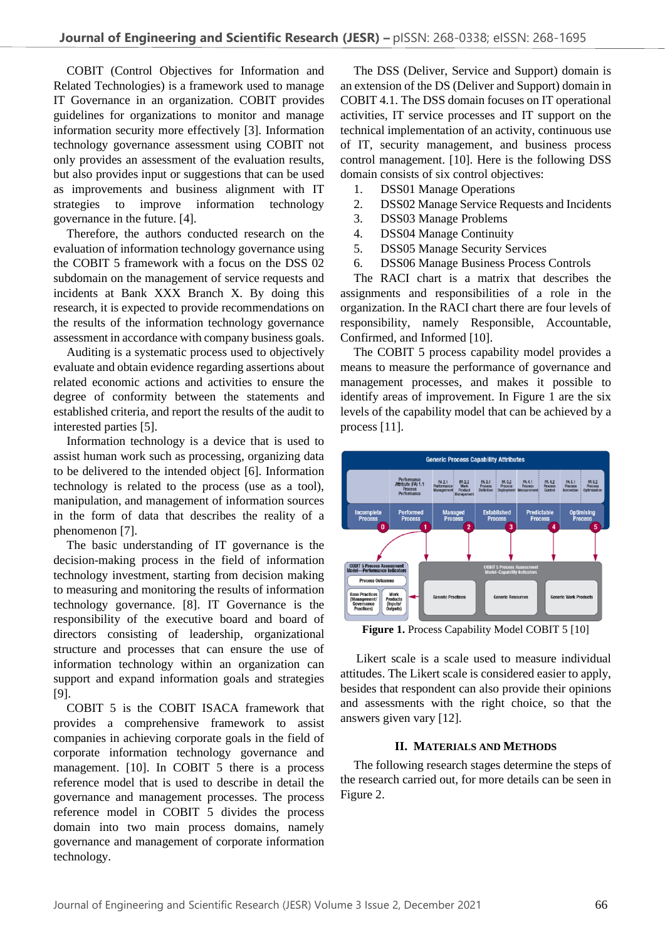COBIT (Control Objectives for Information and Related Technologies) is a framework used to manage IT Governance in an organization. COBIT provides guidelines for organizations to monitor and manage information security more effectively [3]. Information technology governance assessment using COBIT not only provides an assessment of the evaluation results, but also provides input or suggestions that can be used as improvements and business alignment with IT strategies to improve information technology governance in the future. [4].

Therefore, the authors conducted research on the evaluation of information technology governance using the COBIT 5 framework with a focus on the DSS 02 subdomain on the management of service requests and incidents at Bank XXX Branch X. By doing this research, it is expected to provide recommendations on the results of the information technology governance assessment in accordance with company business goals.

Auditing is a systematic process used to objectively evaluate and obtain evidence regarding assertions about related economic actions and activities to ensure the degree of conformity between the statements and established criteria, and report the results of the audit to interested parties [5].

Information technology is a device that is used to assist human work such as processing, organizing data to be delivered to the intended object [6]. Information technology is related to the process (use as a tool), manipulation, and management of information sources in the form of data that describes the reality of a phenomenon [7].

The basic understanding of IT governance is the decision-making process in the field of information technology investment, starting from decision making to measuring and monitoring the results of information technology governance. [8]. IT Governance is the responsibility of the executive board and board of directors consisting of leadership, organizational structure and processes that can ensure the use of information technology within an organization can support and expand information goals and strategies [9].

COBIT 5 is the COBIT ISACA framework that provides a comprehensive framework to assist companies in achieving corporate goals in the field of corporate information technology governance and management. [10]. In COBIT 5 there is a process reference model that is used to describe in detail the governance and management processes. The process reference model in COBIT 5 divides the process domain into two main process domains, namely governance and management of corporate information technology.

The DSS (Deliver, Service and Support) domain is an extension of the DS (Deliver and Support) domain in COBIT 4.1. The DSS domain focuses on IT operational activities, IT service processes and IT support on the technical implementation of an activity, continuous use of IT, security management, and business process control management. [10]. Here is the following DSS domain consists of six control objectives:

- 1. DSS01 Manage Operations
- 2. DSS02 Manage Service Requests and Incidents
- 3. DSS03 Manage Problems
- 4. DSS04 Manage Continuity
- 5. DSS05 Manage Security Services
- 6. DSS06 Manage Business Process Controls

The RACI chart is a matrix that describes the assignments and responsibilities of a role in the organization. In the RACI chart there are four levels of responsibility, namely Responsible, Accountable, Confirmed, and Informed [10].

The COBIT 5 process capability model provides a means to measure the performance of governance and management processes, and makes it possible to identify areas of improvement. In Figure 1 are the six levels of the capability model that can be achieved by a process [11].



Figure 1. Process Capability Model COBIT 5 [10]

Likert scale is a scale used to measure individual attitudes. The Likert scale is considered easier to apply, besides that respondent can also provide their opinions and assessments with the right choice, so that the answers given vary [12].

### **II. MATERIALS AND METHODS**

The following research stages determine the steps of the research carried out, for more details can be seen in Figure 2.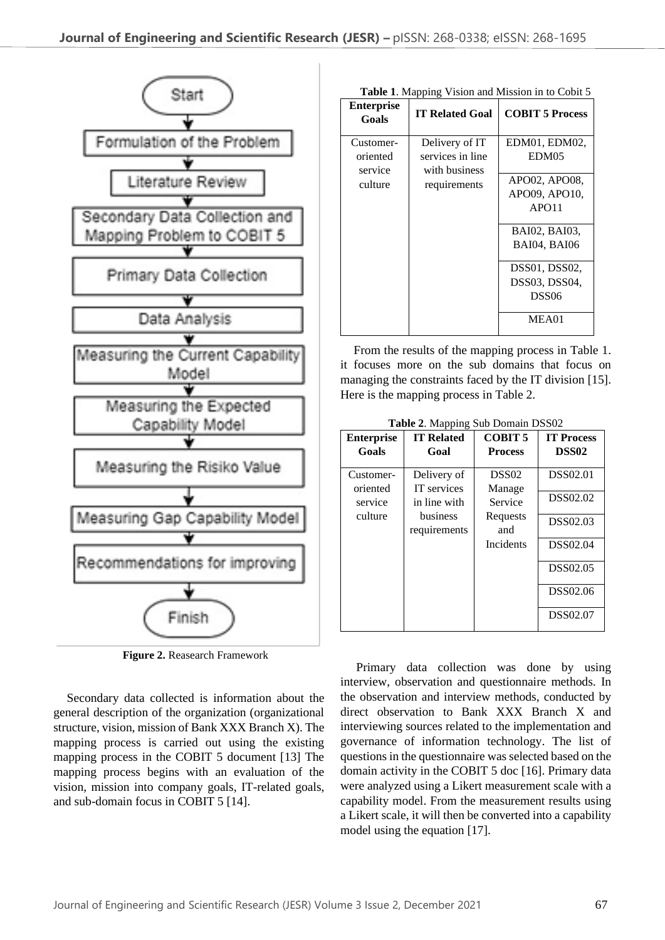

**Figure 2.** Reasearch Framework

Secondary data collected is information about the general description of the organization (organizational structure, vision, mission of Bank XXX Branch X). The mapping process is carried out using the existing mapping process in the COBIT 5 document [13] The mapping process begins with an evaluation of the vision, mission into company goals, IT-related goals, and sub-domain focus in COBIT 5 [14].

| Table 1. Mapping Vision and Mission in to Cobit 5 |  |  |
|---------------------------------------------------|--|--|
|                                                   |  |  |

| <b>Enterprise</b><br>Goals                  | <b>IT Related Goal</b>                                              | <b>COBIT 5 Process</b>                                                                                                                                                    |
|---------------------------------------------|---------------------------------------------------------------------|---------------------------------------------------------------------------------------------------------------------------------------------------------------------------|
| Customer-<br>oriented<br>service<br>culture | Delivery of IT<br>services in line<br>with business<br>requirements | EDM01, EDM02,<br>EDM05<br>APO02, APO08,<br>APO09, APO10,<br>APO11<br>BAI02, BAI03,<br><b>BAI04, BAI06</b><br>DSS01, DSS02,<br>DSS03, DSS04,<br>DSS <sub>06</sub><br>MEA01 |

From the results of the mapping process in Table 1. it focuses more on the sub domains that focus on managing the constraints faced by the IT division [15]. Here is the mapping process in Table 2.

**Table 2**. Mapping Sub Domain DSS02

| <b>Enterprise</b>                           | <b>IT Related</b>                                                             | <b>COBIT 5</b>                                                         | <b>IT Process</b>                                                                              |
|---------------------------------------------|-------------------------------------------------------------------------------|------------------------------------------------------------------------|------------------------------------------------------------------------------------------------|
| Goals                                       | Goal                                                                          | <b>Process</b>                                                         | DSS <sub>02</sub>                                                                              |
| Customer-<br>oriented<br>service<br>culture | Delivery of<br>IT services<br>in line with<br><b>business</b><br>requirements | DSS <sub>02</sub><br>Manage<br>Service<br>Requests<br>and<br>Incidents | <b>DSS02.01</b><br>DSS02.02<br><b>DSS02.03</b><br>DSS02.04<br>DSS02.05<br>DSS02.06<br>DSS02.07 |

Primary data collection was done by using interview, observation and questionnaire methods. In the observation and interview methods, conducted by direct observation to Bank XXX Branch X and interviewing sources related to the implementation and governance of information technology. The list of questions in the questionnaire was selected based on the domain activity in the COBIT 5 doc [16]. Primary data were analyzed using a Likert measurement scale with a capability model. From the measurement results using a Likert scale, it will then be converted into a capability model using the equation [17].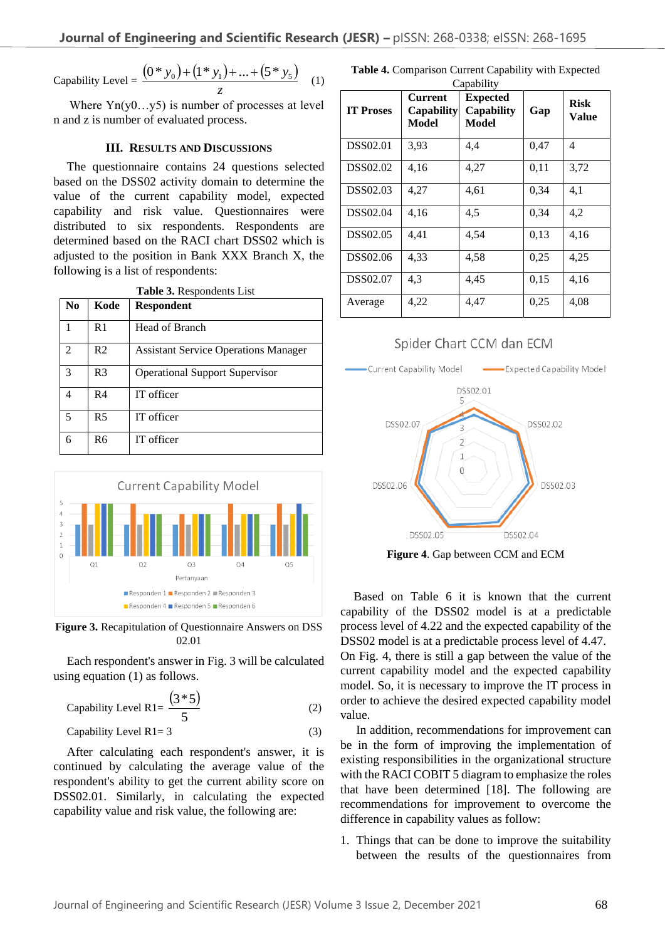Capability Level =

\n
$$
\frac{(0 * y_0) + (1 * y_1) + \ldots + (5 * y_5)}{z}
$$
\n(1)

Where  $Yn(v0...v5)$  is number of processes at level n and z is number of evaluated process.

#### **III. RESULTS AND DISCUSSIONS**

The questionnaire contains 24 questions selected based on the DSS02 activity domain to determine the value of the current capability model, expected capability and risk value. Questionnaires were distributed to six respondents. Respondents are determined based on the RACI chart DSS02 which is adjusted to the position in Bank XXX Branch X, the following is a list of respondents:

| <b>Table 3.</b> Respondents List |                |                                             |  |
|----------------------------------|----------------|---------------------------------------------|--|
| N <sub>0</sub>                   | Kode           | <b>Respondent</b>                           |  |
| 1                                | R1             | Head of Branch                              |  |
| $\mathfrak{D}$                   | R <sub>2</sub> | <b>Assistant Service Operations Manager</b> |  |
| 3                                | R3             | <b>Operational Support Supervisor</b>       |  |
| 4                                | R4             | IT officer                                  |  |
| 5                                | R <sub>5</sub> | IT officer                                  |  |
| 6                                | R6             | IT officer                                  |  |



**Figure 3.** Recapitulation of Questionnaire Answers on DSS 02.01

Each respondent's answer in Fig. 3 will be calculated using equation (1) as follows.

Capability Level R1 = 
$$
\frac{(3 * 5)}{5}
$$

\n(2)

Capability Level R1= 3 (3)

After calculating each respondent's answer, it is continued by calculating the average value of the respondent's ability to get the current ability score on DSS02.01. Similarly, in calculating the expected capability value and risk value, the following are:

**Table 4.** Comparison Current Capability with Expected Capability

| <b>IT Proses</b> | <b>Current</b><br><b>Capability</b><br>Model | <b>Expected</b><br>Capability<br>Model | Gap  | <b>Risk</b><br>Value |
|------------------|----------------------------------------------|----------------------------------------|------|----------------------|
| <b>DSS02.01</b>  | 3.93                                         | 4.4                                    | 0,47 | 4                    |
| DSS02.02         | 4,16                                         | 4,27                                   | 0,11 | 3,72                 |
| <b>DSS02.03</b>  | 4,27                                         | 4,61                                   | 0.34 | 4,1                  |
| <b>DSS02.04</b>  | 4,16                                         | 4,5                                    | 0,34 | 4,2                  |
| DSS02.05         | 4,41                                         | 4.54                                   | 0,13 | 4,16                 |
| DSS02.06         | 4,33                                         | 4,58                                   | 0,25 | 4,25                 |
| DSS02.07         | 4.3                                          | 4,45                                   | 0,15 | 4,16                 |
| Average          | 4,22                                         | 4.47                                   | 0,25 | 4.08                 |



**Figure 4**. Gap between CCM and ECM

Based on Table 6 it is known that the current capability of the DSS02 model is at a predictable process level of 4.22 and the expected capability of the DSS02 model is at a predictable process level of 4.47. On Fig. 4, there is still a gap between the value of the current capability model and the expected capability model. So, it is necessary to improve the IT process in order to achieve the desired expected capability model value.

In addition, recommendations for improvement can be in the form of improving the implementation of existing responsibilities in the organizational structure with the RACI COBIT 5 diagram to emphasize the roles that have been determined [18]. The following are recommendations for improvement to overcome the difference in capability values as follow:

1. Things that can be done to improve the suitability between the results of the questionnaires from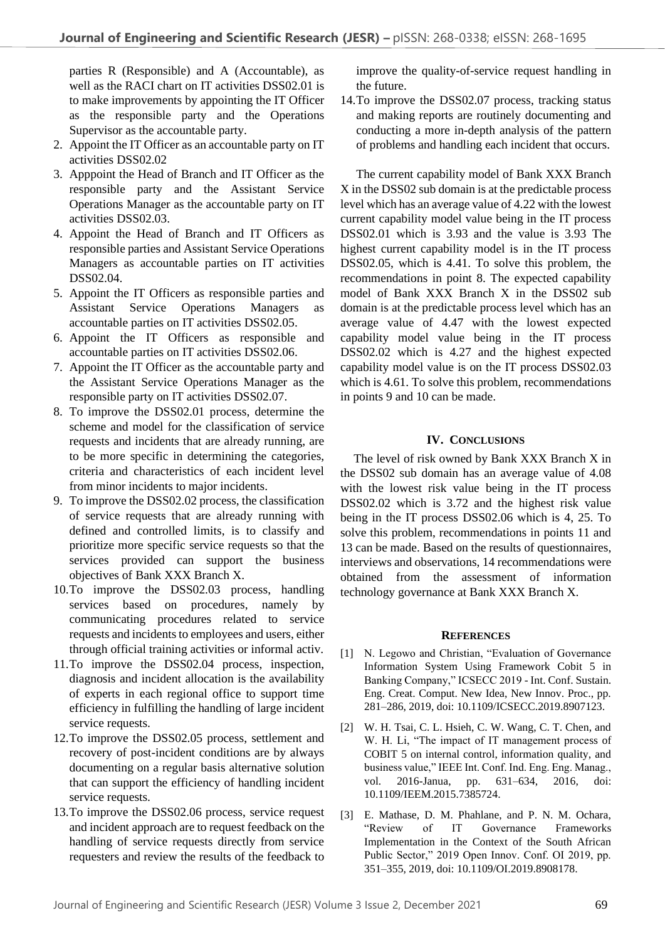parties R (Responsible) and A (Accountable), as well as the RACI chart on IT activities DSS02.01 is to make improvements by appointing the IT Officer as the responsible party and the Operations Supervisor as the accountable party.

- 2. Appoint the IT Officer as an accountable party on IT activities DSS02.02
- 3. Apppoint the Head of Branch and IT Officer as the responsible party and the Assistant Service Operations Manager as the accountable party on IT activities DSS02.03.
- 4. Appoint the Head of Branch and IT Officers as responsible parties and Assistant Service Operations Managers as accountable parties on IT activities DSS02.04.
- 5. Appoint the IT Officers as responsible parties and Assistant Service Operations Managers as accountable parties on IT activities DSS02.05.
- 6. Appoint the IT Officers as responsible and accountable parties on IT activities DSS02.06.
- 7. Appoint the IT Officer as the accountable party and the Assistant Service Operations Manager as the responsible party on IT activities DSS02.07.
- 8. To improve the DSS02.01 process, determine the scheme and model for the classification of service requests and incidents that are already running, are to be more specific in determining the categories, criteria and characteristics of each incident level from minor incidents to major incidents.
- 9. To improve the DSS02.02 process, the classification of service requests that are already running with defined and controlled limits, is to classify and prioritize more specific service requests so that the services provided can support the business objectives of Bank XXX Branch X.
- 10.To improve the DSS02.03 process, handling services based on procedures, namely by communicating procedures related to service requests and incidents to employees and users, either through official training activities or informal activ.
- 11.To improve the DSS02.04 process, inspection, diagnosis and incident allocation is the availability of experts in each regional office to support time efficiency in fulfilling the handling of large incident service requests.
- 12.To improve the DSS02.05 process, settlement and recovery of post-incident conditions are by always documenting on a regular basis alternative solution that can support the efficiency of handling incident service requests.
- 13.To improve the DSS02.06 process, service request and incident approach are to request feedback on the handling of service requests directly from service requesters and review the results of the feedback to

improve the quality-of-service request handling in the future.

14.To improve the DSS02.07 process, tracking status and making reports are routinely documenting and conducting a more in-depth analysis of the pattern of problems and handling each incident that occurs.

The current capability model of Bank XXX Branch X in the DSS02 sub domain is at the predictable process level which has an average value of 4.22 with the lowest current capability model value being in the IT process DSS02.01 which is 3.93 and the value is 3.93 The highest current capability model is in the IT process DSS02.05, which is 4.41. To solve this problem, the recommendations in point 8. The expected capability model of Bank XXX Branch X in the DSS02 sub domain is at the predictable process level which has an average value of 4.47 with the lowest expected capability model value being in the IT process DSS02.02 which is 4.27 and the highest expected capability model value is on the IT process DSS02.03 which is 4.61. To solve this problem, recommendations in points 9 and 10 can be made.

## **IV. CONCLUSIONS**

The level of risk owned by Bank XXX Branch X in the DSS02 sub domain has an average value of 4.08 with the lowest risk value being in the IT process DSS02.02 which is 3.72 and the highest risk value being in the IT process DSS02.06 which is 4, 25. To solve this problem, recommendations in points 11 and 13 can be made. Based on the results of questionnaires, interviews and observations, 14 recommendations were obtained from the assessment of information technology governance at Bank XXX Branch X.

## **REFERENCES**

- [1] N. Legowo and Christian, "Evaluation of Governance Information System Using Framework Cobit 5 in Banking Company," ICSECC 2019 - Int. Conf. Sustain. Eng. Creat. Comput. New Idea, New Innov. Proc., pp. 281–286, 2019, doi: 10.1109/ICSECC.2019.8907123.
- [2] W. H. Tsai, C. L. Hsieh, C. W. Wang, C. T. Chen, and W. H. Li, "The impact of IT management process of COBIT 5 on internal control, information quality, and business value," IEEE Int. Conf. Ind. Eng. Eng. Manag., vol. 2016-Janua, pp. 631–634, 2016, doi: 10.1109/IEEM.2015.7385724.
- [3] E. Mathase, D. M. Phahlane, and P. N. M. Ochara, "Review of IT Governance Frameworks Implementation in the Context of the South African Public Sector," 2019 Open Innov. Conf. OI 2019, pp. 351–355, 2019, doi: 10.1109/OI.2019.8908178.